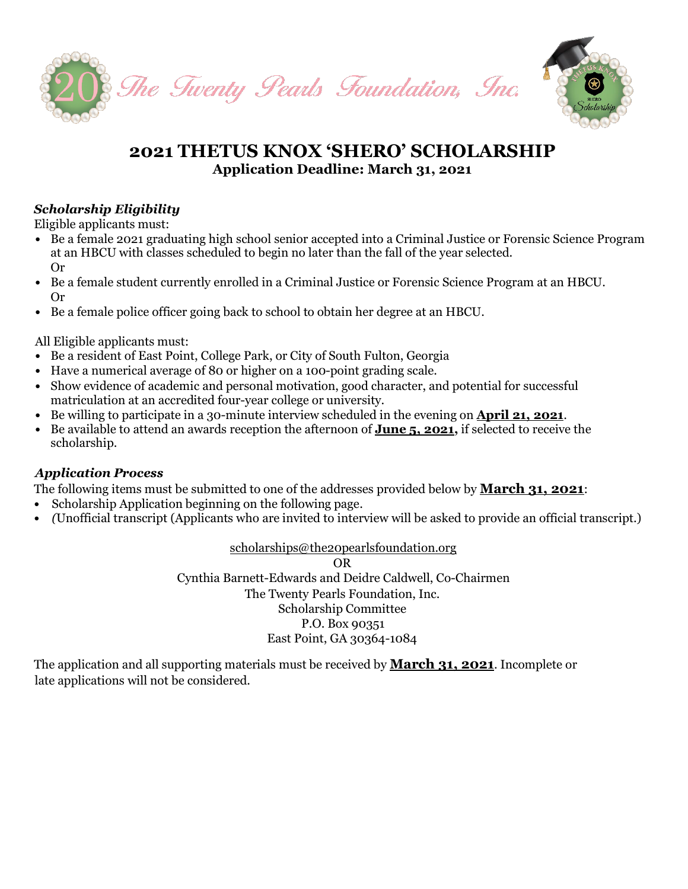

## **2021 THETUS KNOX 'SHERO' SCHOLARSHIP Application Deadline: March 31, 2021**

### *Scholarship Eligibility*

Eligible applicants must:

- *•* Be a female 2021 graduating high school senior accepted into a Criminal Justice or Forensic Science Program at an HBCU with classes scheduled to begin no later than the fall of the year selected. Or
- *•* Be a female student currently enrolled in a Criminal Justice or Forensic Science Program at an HBCU. Or
- *•* Be a female police officer going back to school to obtain her degree at an HBCU.

All Eligible applicants must:

- *•* Be a resident of East Point, College Park, or City of South Fulton, Georgia
- *•* Have a numerical average of 80 or higher on a 100-point grading scale.
- Show evidence of academic and personal motivation, good character, and potential for successful matriculation at an accredited four-year college or university.
- *•* Be willing to participate in a 30-minute interview scheduled in the evening on **April 21, 2021**.
- *•* Be available to attend an awards reception the afternoon of **June 5, 2021,** if selected to receive the scholarship.

#### *Application Process*

The following items must be submitted to one of the addresses provided below by **March 31, 2021**:

- *•* Scholarship Application beginning on the following page.
- *• (*Unofficial transcript (Applicants who are invited to interview will be asked to provide an official transcript.)

[scholarships@the20pearlsfoundation.org](mailto:scholarships@the20pearlsfoundation.org)

OR Cynthia Barnett-Edwards and Deidre Caldwell, Co-Chairmen The Twenty Pearls Foundation, Inc. Scholarship Committee P.O. Box 90351 East Point, GA 30364-1084

The application and all supporting materials must be received by **March 31, 2021**. Incomplete or late applications will not be considered.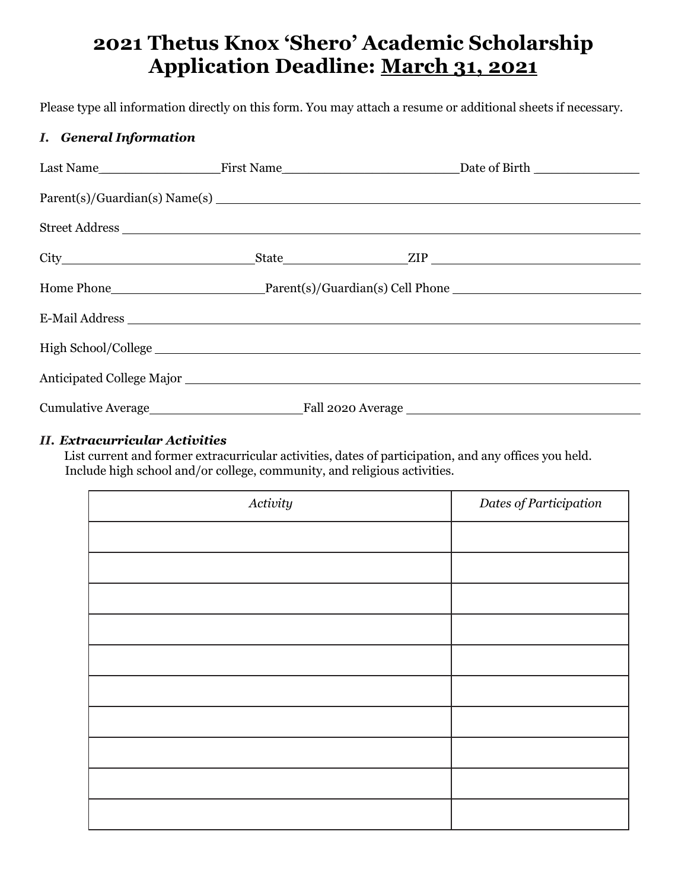# **2021 Thetus Knox 'Shero' Academic Scholarship Application Deadline: March 31, 2021**

Please type all information directly on this form. You may attach a resume or additional sheets if necessary.

#### *I. General Information*

| E-Mail Address |  |
|----------------|--|
|                |  |
|                |  |
|                |  |
|                |  |

#### *II. Extracurricular Activities*

List current and former extracurricular activities, dates of participation, and any offices you held. Include high school and/or college, community, and religious activities.

| Activity | Dates of Participation |
|----------|------------------------|
|          |                        |
|          |                        |
|          |                        |
|          |                        |
|          |                        |
|          |                        |
|          |                        |
|          |                        |
|          |                        |
|          |                        |